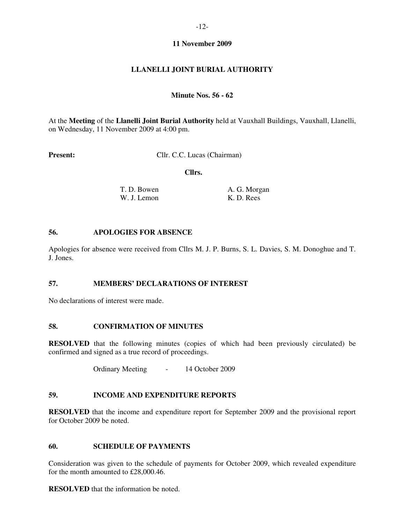## **11 November 2009**

# **LLANELLI JOINT BURIAL AUTHORITY**

## **Minute Nos. 56 - 62**

At the **Meeting** of the **Llanelli Joint Burial Authority** held at Vauxhall Buildings, Vauxhall, Llanelli, on Wednesday, 11 November 2009 at 4:00 pm.

**Present:** Cllr. C.C. Lucas (Chairman)

 **Cllrs.** 

| T. D. Bowen | A. G. Morgan |
|-------------|--------------|
| W. J. Lemon | K. D. Rees   |

#### **56. APOLOGIES FOR ABSENCE**

Apologies for absence were received from Cllrs M. J. P. Burns, S. L. Davies, S. M. Donoghue and T. J. Jones.

# **57. MEMBERS' DECLARATIONS OF INTEREST**

No declarations of interest were made.

## **58. CONFIRMATION OF MINUTES**

**RESOLVED** that the following minutes (copies of which had been previously circulated) be confirmed and signed as a true record of proceedings.

Ordinary Meeting - 14 October 2009

### **59. INCOME AND EXPENDITURE REPORTS**

**RESOLVED** that the income and expenditure report for September 2009 and the provisional report for October 2009 be noted.

#### **60. SCHEDULE OF PAYMENTS**

Consideration was given to the schedule of payments for October 2009, which revealed expenditure for the month amounted to £28,000.46.

**RESOLVED** that the information be noted.